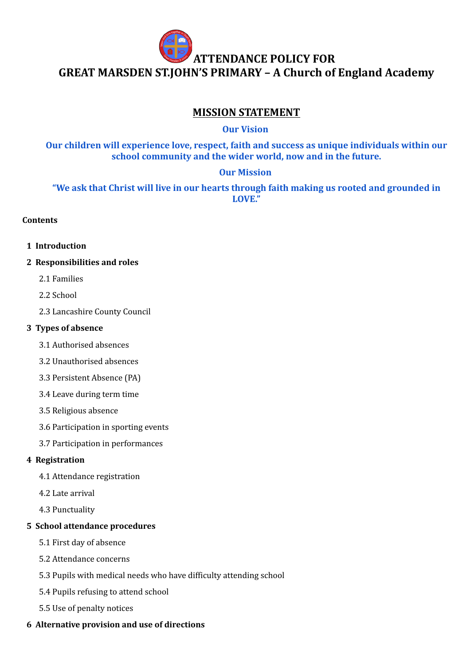

# **MISSION STATEMENT**

**Our Vision**

**Our children will experience love, respect, faith and success as unique individuals within our school community and the wider world, now and in the future.**

### **Our Mission**

**"We ask that Christ will live in our hearts through faith making us rooted and grounded in LOVE."**

#### **Contents**

- **1 Introduction**
- **2 Responsibilities and roles**
	- 2.1 Families
	- 2.2 School
	- 2.3 Lancashire County Council

#### **3 Types of absence**

- 3.1 Authorised absences
- 3.2 Unauthorised absences
- 3.3 Persistent Absence (PA)
- 3.4 Leave during term time
- 3.5 Religious absence
- 3.6 Participation in sporting events
- 3.7 Participation in performances

#### **4 Registration**

- 4.1 Attendance registration
- 4.2 Late arrival
- 4.3 Punctuality

#### **5 School attendance procedures**

- 5.1 First day of absence
- 5.2 Attendance concerns
- 5.3 Pupils with medical needs who have difficulty attending school
- 5.4 Pupils refusing to attend school
- 5.5 Use of penalty notices

#### **6 Alternative provision and use of directions**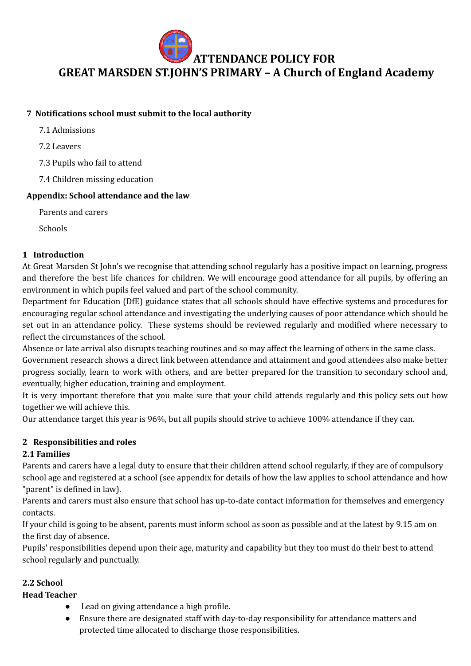

#### **7 Notifications school must submit to the local authority**

- 7.1 Admissions
- 7.2 Leavers
- 7.3 Pupils who fail to attend
- 7.4 Children missing education

#### **Appendix: School attendance and the law**

Parents and carers

Schools

#### **1 Introduction**

At Great Marsden St John's we recognise that attending school regularly has a positive impact on learning, progress and therefore the best life chances for children. We will encourage good attendance for all pupils, by offering an environment in which pupils feel valued and part of the school community.

Department for Education (DfE) guidance states that all schools should have effective systems and procedures for encouraging regular school attendance and investigating the underlying causes of poor attendance which should be set out in an attendance policy. These systems should be reviewed regularly and modified where necessary to reflect the circumstances of the school.

Absence or late arrival also disrupts teaching routines and so may affect the learning of others in the same class. Government research shows a direct link between attendance and attainment and good attendees also make better progress socially, learn to work with others, and are better prepared for the transition to secondary school and, eventually, higher education, training and employment.

It is very important therefore that you make sure that your child attends regularly and this policy sets out how together we will achieve this.

Our attendance target this year is 96%, but all pupils should strive to achieve 100% attendance if they can.

#### **2 Responsibilities and roles**

#### **2.1 Families**

Parents and carers have a legal duty to ensure that their children attend school regularly, if they are of compulsory school age and registered at a school (see appendix for details of how the law applies to school attendance and how "parent" is defined in law).

Parents and carers must also ensure that school has up-to-date contact information for themselves and emergency contacts.

If your child is going to be absent, parents must inform school as soon as possible and at the latest by 9.15 am on the first day of absence.

Pupils' responsibilities depend upon their age, maturity and capability but they too must do their best to attend school regularly and punctually.

#### **2.2 School**

**Head Teacher**

- Lead on giving attendance a high profile.
- Ensure there are designated staff with day-to-day responsibility for attendance matters and protected time allocated to discharge those responsibilities.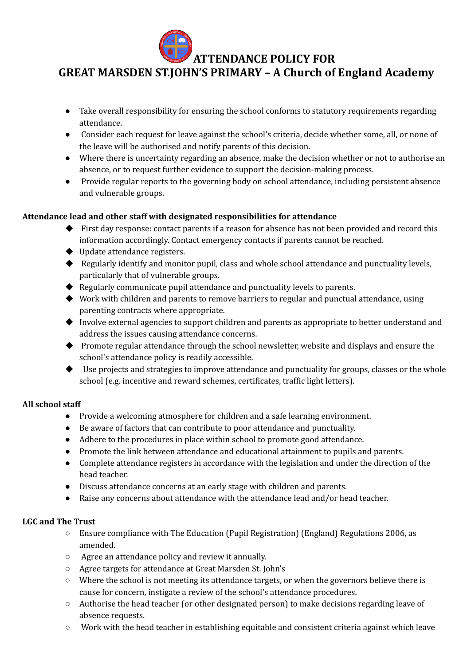**GREAT MARSDEN ST.JOHN'S PRIMARY – A Church of England Academy**

- Take overall responsibility for ensuring the school conforms to statutory requirements regarding attendance.
- Consider each request for leave against the school's criteria, decide whether some, all, or none of the leave will be authorised and notify parents of this decision.
- Where there is uncertainty regarding an absence, make the decision whether or not to authorise an absence, or to request further evidence to support the decision-making process.
- Provide regular reports to the governing body on school attendance, including persistent absence and vulnerable groups.

#### **Attendance lead and other staff with designated responsibilities for attendance**

- First day response: contact parents if a reason for absence has not been provided and record this information accordingly. Contact emergency contacts if parents cannot be reached.
- ◆ Update attendance registers.
- ◆ Regularly identify and monitor pupil, class and whole school attendance and punctuality levels, particularly that of vulnerable groups.
- ◆ Regularly communicate pupil attendance and punctuality levels to parents.
- ◆ Work with children and parents to remove barriers to regular and punctual attendance, using parenting contracts where appropriate.
- ◆ Involve external agencies to support children and parents as appropriate to better understand and address the issues causing attendance concerns.
- ◆ Promote regular attendance through the school newsletter, website and displays and ensure the school's attendance policy is readily accessible.
- ◆ Use projects and strategies to improve attendance and punctuality for groups, classes or the whole school (e.g. incentive and reward schemes, certificates, traffic light letters).

#### **All school staff**

- Provide a welcoming atmosphere for children and a safe learning environment.
- Be aware of factors that can contribute to poor attendance and punctuality.
- Adhere to the procedures in place within school to promote good attendance.
- Promote the link between attendance and educational attainment to pupils and parents.
- Complete attendance registers in accordance with the legislation and under the direction of the head teacher.
- Discuss attendance concerns at an early stage with children and parents.
- Raise any concerns about attendance with the attendance lead and/or head teacher.

#### **LGC and The Trust**

- Ensure compliance with The Education (Pupil Registration) (England) Regulations 2006, as amended.
- Agree an attendance policy and review it annually.
- Agree targets for attendance at Great Marsden St. John's
- $\circ$  Where the school is not meeting its attendance targets, or when the governors believe there is cause for concern, instigate a review of the school's attendance procedures.
- Authorise the head teacher (or other designated person) to make decisions regarding leave of absence requests.
- Work with the head teacher in establishing equitable and consistent criteria against which leave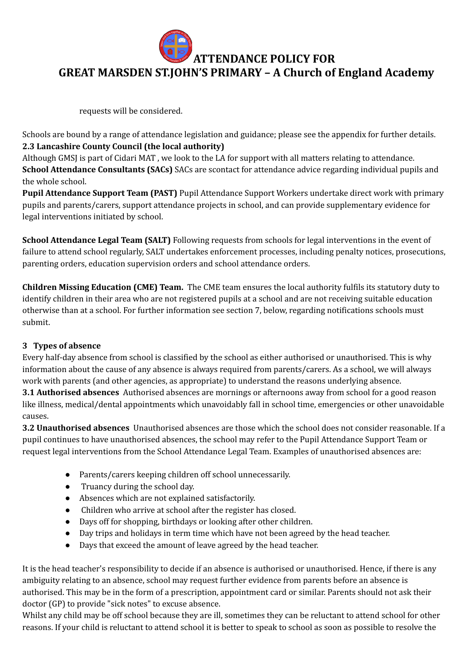

requests will be considered.

Schools are bound by a range of attendance legislation and guidance; please see the appendix for further details. **2.3 Lancashire County Council (the local authority)**

Although GMSJ is part of Cidari MAT , we look to the LA for support with all matters relating to attendance. **School Attendance Consultants (SACs)** SACs are scontact for attendance advice regarding individual pupils and the whole school.

**Pupil Attendance Support Team (PAST)** Pupil Attendance Support Workers undertake direct work with primary pupils and parents/carers, support attendance projects in school, and can provide supplementary evidence for legal interventions initiated by school.

**School Attendance Legal Team (SALT)** Following requests from schools for legal interventions in the event of failure to attend school regularly, SALT undertakes enforcement processes, including penalty notices, prosecutions, parenting orders, education supervision orders and school attendance orders.

**Children Missing Education (CME) Team.** The CME team ensures the local authority fulfils its statutory duty to identify children in their area who are not registered pupils at a school and are not receiving suitable education otherwise than at a school. For further information see section 7, below, regarding notifications schools must submit.

#### **3 Types of absence**

Every half-day absence from school is classified by the school as either authorised or unauthorised. This is why information about the cause of any absence is always required from parents/carers. As a school, we will always work with parents (and other agencies, as appropriate) to understand the reasons underlying absence.

**3.1 Authorised absences** Authorised absences are mornings or afternoons away from school for a good reason like illness, medical/dental appointments which unavoidably fall in school time, emergencies or other unavoidable causes.

**3.2 Unauthorised absences** Unauthorised absences are those which the school does not consider reasonable. If a pupil continues to have unauthorised absences, the school may refer to the Pupil Attendance Support Team or request legal interventions from the School Attendance Legal Team. Examples of unauthorised absences are:

- Parents/carers keeping children off school unnecessarily.
- Truancy during the school day.
- Absences which are not explained satisfactorily.
- Children who arrive at school after the register has closed.
- Days off for shopping, birthdays or looking after other children.
- Day trips and holidays in term time which have not been agreed by the head teacher.
- Days that exceed the amount of leave agreed by the head teacher.

It is the head teacher's responsibility to decide if an absence is authorised or unauthorised. Hence, if there is any ambiguity relating to an absence, school may request further evidence from parents before an absence is authorised. This may be in the form of a prescription, appointment card or similar. Parents should not ask their doctor (GP) to provide "sick notes" to excuse absence.

Whilst any child may be off school because they are ill, sometimes they can be reluctant to attend school for other reasons. If your child is reluctant to attend school it is better to speak to school as soon as possible to resolve the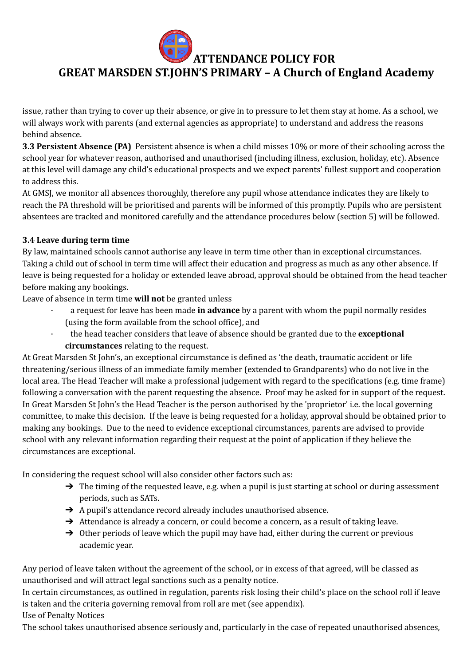**GREAT MARSDEN ST.JOHN'S PRIMARY – A Church of England Academy**

issue, rather than trying to cover up their absence, or give in to pressure to let them stay at home. As a school, we will always work with parents (and external agencies as appropriate) to understand and address the reasons behind absence.

**3.3 Persistent Absence (PA)** Persistent absence is when a child misses 10% or more of their schooling across the school year for whatever reason, authorised and unauthorised (including illness, exclusion, holiday, etc). Absence at this level will damage any child's educational prospects and we expect parents' fullest support and cooperation to address this.

At GMSJ, we monitor all absences thoroughly, therefore any pupil whose attendance indicates they are likely to reach the PA threshold will be prioritised and parents will be informed of this promptly. Pupils who are persistent absentees are tracked and monitored carefully and the attendance procedures below (section 5) will be followed.

#### **3.4 Leave during term time**

By law, maintained schools cannot authorise any leave in term time other than in exceptional circumstances. Taking a child out of school in term time will affect their education and progress as much as any other absence. If leave is being requested for a holiday or extended leave abroad, approval should be obtained from the head teacher before making any bookings.

Leave of absence in term time **will not** be granted unless

- · a request for leave has been made **in advance** by a parent with whom the pupil normally resides (using the form available from the school office), and
- · the head teacher considers that leave of absence should be granted due to the **exceptional circumstances** relating to the request.

At Great Marsden St John's, an exceptional circumstance is defined as 'the death, traumatic accident or life threatening/serious illness of an immediate family member (extended to Grandparents) who do not live in the local area. The Head Teacher will make a professional judgement with regard to the specifications (e.g. time frame) following a conversation with the parent requesting the absence. Proof may be asked for in support of the request. In Great Marsden St John's the Head Teacher is the person authorised by the 'proprietor' i.e. the local governing committee, to make this decision. If the leave is being requested for a holiday, approval should be obtained prior to making any bookings. Due to the need to evidence exceptional circumstances, parents are advised to provide school with any relevant information regarding their request at the point of application if they believe the circumstances are exceptional.

In considering the request school will also consider other factors such as:

- $\rightarrow$  The timing of the requested leave, e.g. when a pupil is just starting at school or during assessment periods, such as SATs.
- **→** A pupil's attendance record already includes unauthorised absence.
- → Attendance is already a concern, or could become a concern, as a result of taking leave.
- $\rightarrow$  Other periods of leave which the pupil may have had, either during the current or previous academic year.

Any period of leave taken without the agreement of the school, or in excess of that agreed, will be classed as unauthorised and will attract legal sanctions such as a penalty notice.

In certain circumstances, as outlined in regulation, parents risk losing their child's place on the school roll if leave is taken and the criteria governing removal from roll are met (see appendix).

Use of Penalty Notices

The school takes unauthorised absence seriously and, particularly in the case of repeated unauthorised absences,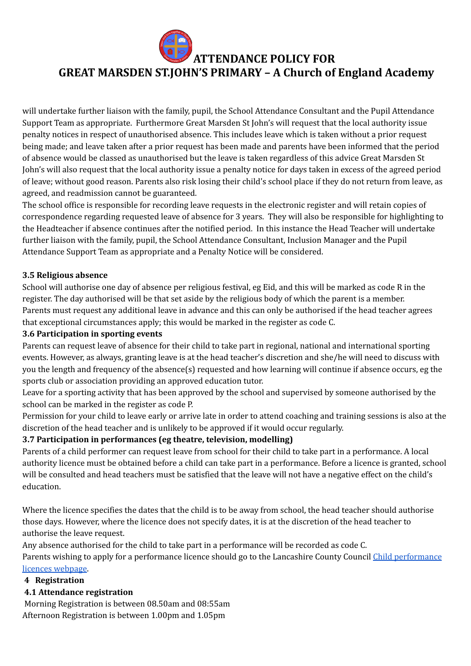# **GREAT MARSDEN ST.JOHN'S PRIMARY – A Church of England Academy**

will undertake further liaison with the family, pupil, the School Attendance Consultant and the Pupil Attendance Support Team as appropriate. Furthermore Great Marsden St John's will request that the local authority issue penalty notices in respect of unauthorised absence. This includes leave which is taken without a prior request being made; and leave taken after a prior request has been made and parents have been informed that the period of absence would be classed as unauthorised but the leave is taken regardless of this advice Great Marsden St John's will also request that the local authority issue a penalty notice for days taken in excess of the agreed period of leave; without good reason. Parents also risk losing their child's school place if they do not return from leave, as agreed, and readmission cannot be guaranteed.

The school office is responsible for recording leave requests in the electronic register and will retain copies of correspondence regarding requested leave of absence for 3 years. They will also be responsible for highlighting to the Headteacher if absence continues after the notified period. In this instance the Head Teacher will undertake further liaison with the family, pupil, the School Attendance Consultant, Inclusion Manager and the Pupil Attendance Support Team as appropriate and a Penalty Notice will be considered.

#### **3.5 Religious absence**

School will authorise one day of absence per religious festival, eg Eid, and this will be marked as code R in the register. The day authorised will be that set aside by the religious body of which the parent is a member. Parents must request any additional leave in advance and this can only be authorised if the head teacher agrees that exceptional circumstances apply; this would be marked in the register as code C.

#### **3.6 Participation in sporting events**

Parents can request leave of absence for their child to take part in regional, national and international sporting events. However, as always, granting leave is at the head teacher's discretion and she/he will need to discuss with you the length and frequency of the absence(s) requested and how learning will continue if absence occurs, eg the sports club or association providing an approved education tutor.

Leave for a sporting activity that has been approved by the school and supervised by someone authorised by the school can be marked in the register as code P.

Permission for your child to leave early or arrive late in order to attend coaching and training sessions is also at the discretion of the head teacher and is unlikely to be approved if it would occur regularly.

#### **3.7 Participation in performances (eg theatre, television, modelling)**

Parents of a child performer can request leave from school for their child to take part in a performance. A local authority licence must be obtained before a child can take part in a performance. Before a licence is granted, school will be consulted and head teachers must be satisfied that the leave will not have a negative effect on the child's education.

Where the licence specifies the dates that the child is to be away from school, the head teacher should authorise those days. However, where the licence does not specify dates, it is at the discretion of the head teacher to authorise the leave request.

Any absence authorised for the child to take part in a performance will be recorded as code C.

Parents wishing to apply for a performance licence should go to the Lancashire County Council Child [performance](https://www.lancashire.gov.uk/children-education-families/keeping-children-safe/children-in-employment-and-entertainment/child-performance-licences/) licences [webpage](https://www.lancashire.gov.uk/children-education-families/keeping-children-safe/children-in-employment-and-entertainment/child-performance-licences/).

#### **4 Registration**

#### **4.1 Attendance registration**

Morning Registration is between 08.50am and 08:55am Afternoon Registration is between 1.00pm and 1.05pm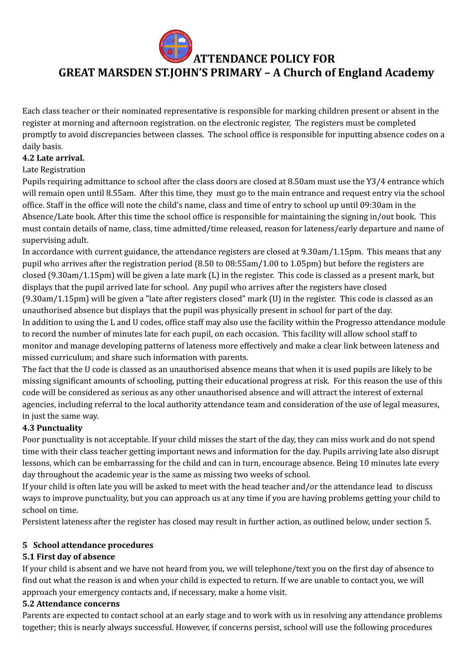**GREAT MARSDEN ST.JOHN'S PRIMARY – A Church of England Academy**

Each class teacher or their nominated representative is responsible for marking children present or absent in the register at morning and afternoon registration. on the electronic register, The registers must be completed promptly to avoid discrepancies between classes. The school office is responsible for inputting absence codes on a daily basis.

#### **4.2 Late arrival.**

#### Late Registration

Pupils requiring admittance to school after the class doors are closed at 8.50am must use the Y3/4 entrance which will remain open until 8.55am. After this time, they must go to the main entrance and request entry via the school office. Staff in the office will note the child's name, class and time of entry to school up until 09:30am in the Absence/Late book. After this time the school office is responsible for maintaining the signing in/out book. This must contain details of name, class, time admitted/time released, reason for lateness/early departure and name of supervising adult.

In accordance with current guidance, the attendance registers are closed at 9.30am/1.15pm. This means that any pupil who arrives after the registration period (8.50 to 08:55am/1.00 to 1.05pm) but before the registers are closed (9.30am/1.15pm) will be given a late mark (L) in the register. This code is classed as a present mark, but displays that the pupil arrived late for school. Any pupil who arrives after the registers have closed (9.30am/1.15pm) will be given a "late after registers closed" mark (U) in the register. This code is classed as an unauthorised absence but displays that the pupil was physically present in school for part of the day. In addition to using the L and U codes, office staff may also use the facility within the Progresso attendance module to record the number of minutes late for each pupil, on each occasion. This facility will allow school staff to monitor and manage developing patterns of lateness more effectively and make a clear link between lateness and missed curriculum; and share such information with parents.

The fact that the U code is classed as an unauthorised absence means that when it is used pupils are likely to be missing significant amounts of schooling, putting their educational progress at risk. For this reason the use of this code will be considered as serious as any other unauthorised absence and will attract the interest of external agencies, including referral to the local authority attendance team and consideration of the use of legal measures, in just the same way.

#### **4.3 Punctuality**

Poor punctuality is not acceptable. If your child misses the start of the day, they can miss work and do not spend time with their class teacher getting important news and information for the day. Pupils arriving late also disrupt lessons, which can be embarrassing for the child and can in turn, encourage absence. Being 10 minutes late every day throughout the academic year is the same as missing two weeks of school.

If your child is often late you will be asked to meet with the head teacher and/or the attendance lead to discuss ways to improve punctuality, but you can approach us at any time if you are having problems getting your child to school on time.

Persistent lateness after the register has closed may result in further action, as outlined below, under section 5.

#### **5 School attendance procedures**

#### **5.1 First day of absence**

If your child is absent and we have not heard from you, we will telephone/text you on the first day of absence to find out what the reason is and when your child is expected to return. If we are unable to contact you, we will approach your emergency contacts and, if necessary, make a home visit.

#### **5.2 Attendance concerns**

Parents are expected to contact school at an early stage and to work with us in resolving any attendance problems together; this is nearly always successful. However, if concerns persist, school will use the following procedures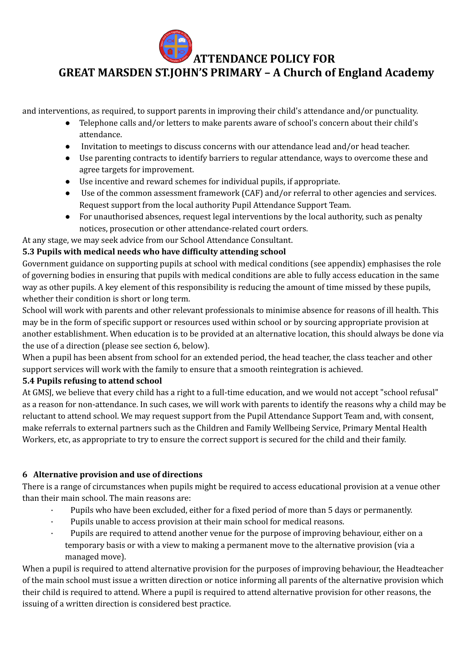**GREAT MARSDEN ST.JOHN'S PRIMARY – A Church of England Academy**

and interventions, as required, to support parents in improving their child's attendance and/or punctuality.

- Telephone calls and/or letters to make parents aware of school's concern about their child's attendance.
- Invitation to meetings to discuss concerns with our attendance lead and/or head teacher.
- Use parenting contracts to identify barriers to regular attendance, ways to overcome these and agree targets for improvement.
- Use incentive and reward schemes for individual pupils, if appropriate.
- Use of the common assessment framework (CAF) and/or referral to other agencies and services. Request support from the local authority Pupil Attendance Support Team.
- For unauthorised absences, request legal interventions by the local authority, such as penalty notices, prosecution or other attendance-related court orders.

At any stage, we may seek advice from our School Attendance Consultant.

#### **5.3 Pupils with medical needs who have difficulty attending school**

Government guidance on supporting pupils at school with medical conditions (see appendix) emphasises the role of governing bodies in ensuring that pupils with medical conditions are able to fully access education in the same way as other pupils. A key element of this responsibility is reducing the amount of time missed by these pupils, whether their condition is short or long term.

School will work with parents and other relevant professionals to minimise absence for reasons of ill health. This may be in the form of specific support or resources used within school or by sourcing appropriate provision at another establishment. When education is to be provided at an alternative location, this should always be done via the use of a direction (please see section 6, below).

When a pupil has been absent from school for an extended period, the head teacher, the class teacher and other support services will work with the family to ensure that a smooth reintegration is achieved.

#### **5.4 Pupils refusing to attend school**

At GMSJ, we believe that every child has a right to a full-time education, and we would not accept "school refusal" as a reason for non-attendance. In such cases, we will work with parents to identify the reasons why a child may be reluctant to attend school. We may request support from the Pupil Attendance Support Team and, with consent, make referrals to external partners such as the Children and Family Wellbeing Service, Primary Mental Health Workers, etc, as appropriate to try to ensure the correct support is secured for the child and their family.

#### **6 Alternative provision and use of directions**

There is a range of circumstances when pupils might be required to access educational provision at a venue other than their main school. The main reasons are:

- · Pupils who have been excluded, either for a fixed period of more than 5 days or permanently.
- Pupils unable to access provision at their main school for medical reasons.
- · Pupils are required to attend another venue for the purpose of improving behaviour, either on a temporary basis or with a view to making a permanent move to the alternative provision (via a managed move).

When a pupil is required to attend alternative provision for the purposes of improving behaviour, the Headteacher of the main school must issue a written direction or notice informing all parents of the alternative provision which their child is required to attend. Where a pupil is required to attend alternative provision for other reasons, the issuing of a written direction is considered best practice.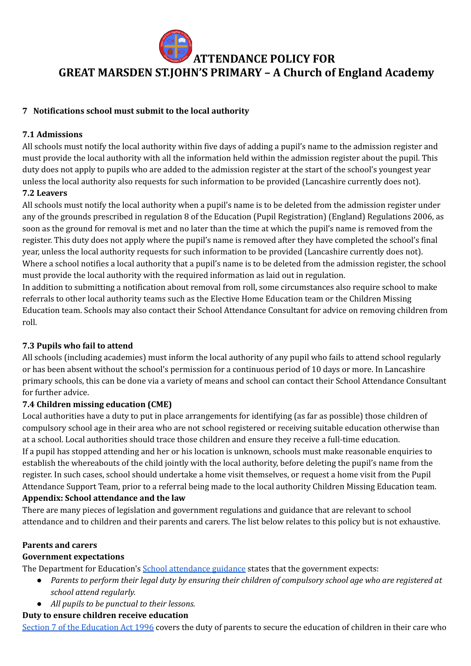

#### **7 Notifications school must submit to the local authority**

#### **7.1 Admissions**

All schools must notify the local authority within five days of adding a pupil's name to the admission register and must provide the local authority with all the information held within the admission register about the pupil. This duty does not apply to pupils who are added to the admission register at the start of the school's youngest year unless the local authority also requests for such information to be provided (Lancashire currently does not). **7.2 Leavers**

All schools must notify the local authority when a pupil's name is to be deleted from the admission register under any of the grounds prescribed in regulation 8 of the Education (Pupil Registration) (England) Regulations 2006, as soon as the ground for removal is met and no later than the time at which the pupil's name is removed from the register. This duty does not apply where the pupil's name is removed after they have completed the school's final year, unless the local authority requests for such information to be provided (Lancashire currently does not). Where a school notifies a local authority that a pupil's name is to be deleted from the admission register, the school must provide the local authority with the required information as laid out in regulation.

In addition to submitting a notification about removal from roll, some circumstances also require school to make referrals to other local authority teams such as the Elective Home Education team or the Children Missing Education team. Schools may also contact their School Attendance Consultant for advice on removing children from roll.

#### **7.3 Pupils who fail to attend**

All schools (including academies) must inform the local authority of any pupil who fails to attend school regularly or has been absent without the school's permission for a continuous period of 10 days or more. In Lancashire primary schools, this can be done via a variety of means and school can contact their School Attendance Consultant for further advice.

#### **7.4 Children missing education (CME)**

Local authorities have a duty to put in place arrangements for identifying (as far as possible) those children of compulsory school age in their area who are not school registered or receiving suitable education otherwise than at a school. Local authorities should trace those children and ensure they receive a full-time education. If a pupil has stopped attending and her or his location is unknown, schools must make reasonable enquiries to establish the whereabouts of the child jointly with the local authority, before deleting the pupil's name from the register. In such cases, school should undertake a home visit themselves, or request a home visit from the Pupil Attendance Support Team, prior to a referral being made to the local authority Children Missing Education team.

#### **Appendix: School attendance and the law**

There are many pieces of legislation and government regulations and guidance that are relevant to school attendance and to children and their parents and carers. The list below relates to this policy but is not exhaustive.

#### **Parents and carers**

#### **Government expectations**

The Department for Education's **School [attendance](https://www.gov.uk/government/publications/school-attendance) guidance** states that the government expects:

- Parents to perform their legal duty by ensuring their children of compulsory school age who are registered at *school attend regularly.*
- *All pupils to be punctual to their lessons.*

#### **Duty to ensure children receive education**

Section 7 of the [Education](https://www.legislation.gov.uk/ukpga/1996/56/section/7) Act 1996 covers the duty of parents to secure the education of children in their care who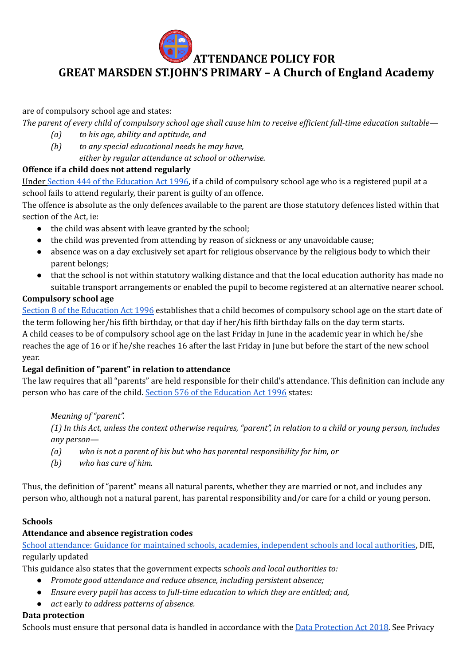# **GREAT MARSDEN ST.JOHN'S PRIMARY – A Church of England Academy**

are of compulsory school age and states:

The parent of every child of compulsory school age shall cause him to receive efficient full-time education suitable—

- *(a) to his age, ability and aptitude, and*
- *(b) to any special educational needs he may have, either by regular attendance at school or otherwise.*

# **Offence if a child does not attend regularly**

Under Section 444 of the [Education](http://www.legislation.gov.uk/ukpga/1996/56/section/444) Act 1996, if a child of compulsory school age who is a registered pupil at a school fails to attend regularly, their parent is guilty of an offence.

The offence is absolute as the only defences available to the parent are those statutory defences listed within that section of the Act, ie:

- the child was absent with leave granted by the school;
- the child was prevented from attending by reason of sickness or any unavoidable cause;
- absence was on a day exclusively set apart for religious observance by the religious body to which their parent belongs;
- that the school is not within statutory walking distance and that the local education authority has made no suitable transport arrangements or enabled the pupil to become registered at an alternative nearer school.

# **Compulsory school age**

Section 8 of the [Education](https://www.legislation.gov.uk/ukpga/1996/56/section/8) Act 1996 establishes that a child becomes of compulsory school age on the start date of the term following her/his fifth birthday, or that day if her/his fifth birthday falls on the day term starts. A child ceases to be of compulsory school age on the last Friday in June in the academic year in which he/she reaches the age of 16 or if he/she reaches 16 after the last Friday in June but before the start of the new school year.

# **Legal definition of "parent" in relation to attendance**

The law requires that all "parents" are held responsible for their child's attendance. This definition can include any person who has care of the child. Section 576 of the [Education](https://www.legislation.gov.uk/ukpga/1996/56/section/576) Act 1996 states:

*Meaning of "parent".*

(1) In this Act, unless the context otherwise requires, "parent", in relation to a child or young person, includes *any person—*

- *(a) who is not a parent of his but who has parental responsibility for him, or*
- *(b) who has care of him.*

Thus, the definition of "parent" means all natural parents, whether they are married or not, and includes any person who, although not a natural parent, has parental responsibility and/or care for a child or young person.

# **Schools**

# **Attendance and absence registration codes**

School attendance: Guidance for maintained schools, academies, [independent](https://www.gov.uk/government/publications/school-attendance) schools and local authorities, DfE, regularly updated

This guidance also states that the government expects s*chools and local authorities to:*

- *Promote good attendance and reduce absence, including persistent absence;*
- *Ensure every pupil has access to full-time education to which they are entitled; and,*
- *act* early *to address patterns of absence.*

# **Data protection**

Schools must ensure that personal data is handled in accordance with the Data [Protection](https://www.gov.uk/data-protection) Act 2018. See Privacy